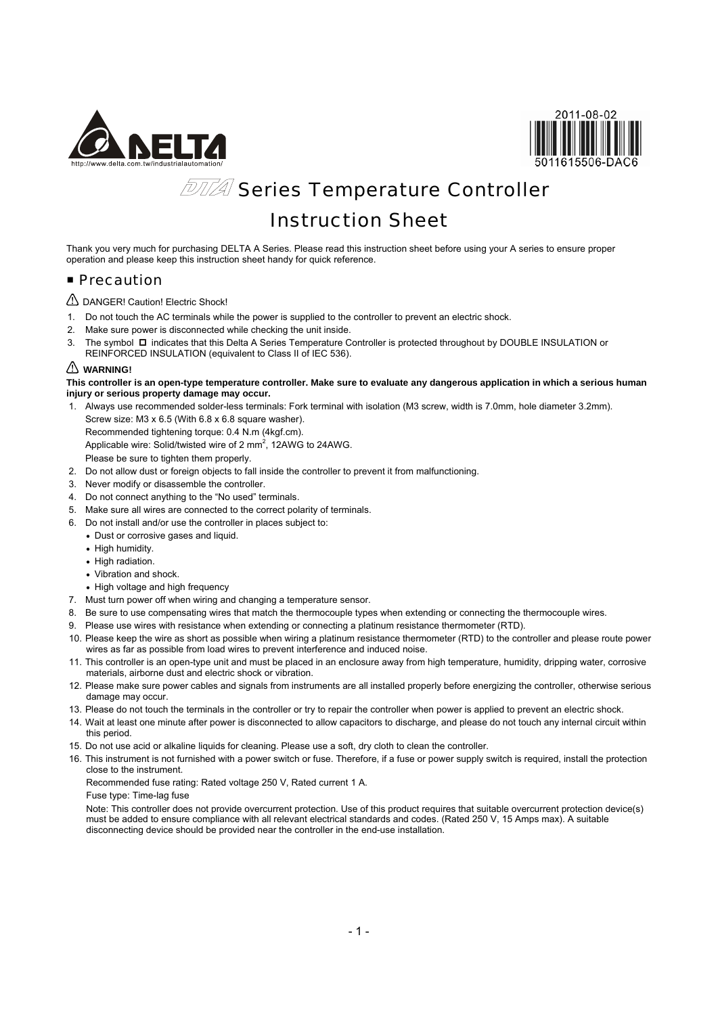



# *<b>DTTA* Series Temperature Controller

# Instruction Sheet

Thank you very much for purchasing DELTA A Series. Please read this instruction sheet before using your A series to ensure proper operation and please keep this instruction sheet handy for quick reference.

### **Precaution**

DANGER! Caution! Electric Shock!

- 1. Do not touch the AC terminals while the power is supplied to the controller to prevent an electric shock.
- 2. Make sure power is disconnected while checking the unit inside.
- 3. The symbol  $\Box$  indicates that this Delta A Series Temperature Controller is protected throughout by DOUBLE INSULATION or REINFORCED INSULATION (equivalent to Class II of IEC 536).

### **WARNING!**

**This controller is an open-type temperature controller. Make sure to evaluate any dangerous application in which a serious human injury or serious property damage may occur.** 

1. Always use recommended solder-less terminals: Fork terminal with isolation (M3 screw, width is 7.0mm, hole diameter 3.2mm). Screw size: M3 x 6.5 (With 6.8 x 6.8 square washer).

Recommended tightening torque: 0.4 N.m (4kgf.cm).

Applicable wire: Solid/twisted wire of 2 mm<sup>2</sup>, 12AWG to 24AWG.

Please be sure to tighten them properly.

- 2. Do not allow dust or foreign objects to fall inside the controller to prevent it from malfunctioning.
- 3. Never modify or disassemble the controller.
- 4. Do not connect anything to the "No used" terminals.
- 5. Make sure all wires are connected to the correct polarity of terminals.
- 6. Do not install and/or use the controller in places subject to:
	- Dust or corrosive gases and liquid.
	- High humidity.
	- High radiation.
	- Vibration and shock.
	- High voltage and high frequency
- 7. Must turn power off when wiring and changing a temperature sensor.
- 8. Be sure to use compensating wires that match the thermocouple types when extending or connecting the thermocouple wires.
- 9. Please use wires with resistance when extending or connecting a platinum resistance thermometer (RTD).
- 10. Please keep the wire as short as possible when wiring a platinum resistance thermometer (RTD) to the controller and please route power wires as far as possible from load wires to prevent interference and induced noise.
- 11. This controller is an open-type unit and must be placed in an enclosure away from high temperature, humidity, dripping water, corrosive materials, airborne dust and electric shock or vibration.
- 12. Please make sure power cables and signals from instruments are all installed properly before energizing the controller, otherwise serious damage may occur.
- 13. Please do not touch the terminals in the controller or try to repair the controller when power is applied to prevent an electric shock.
- 14. Wait at least one minute after power is disconnected to allow capacitors to discharge, and please do not touch any internal circuit within this period.
- 15. Do not use acid or alkaline liquids for cleaning. Please use a soft, dry cloth to clean the controller.
- 16. This instrument is not furnished with a power switch or fuse. Therefore, if a fuse or power supply switch is required, install the protection close to the instrument.

Recommended fuse rating: Rated voltage 250 V, Rated current 1 A.

Fuse type: Time-lag fuse

Note: This controller does not provide overcurrent protection. Use of this product requires that suitable overcurrent protection device(s) must be added to ensure compliance with all relevant electrical standards and codes. (Rated 250 V, 15 Amps max). A suitable disconnecting device should be provided near the controller in the end-use installation.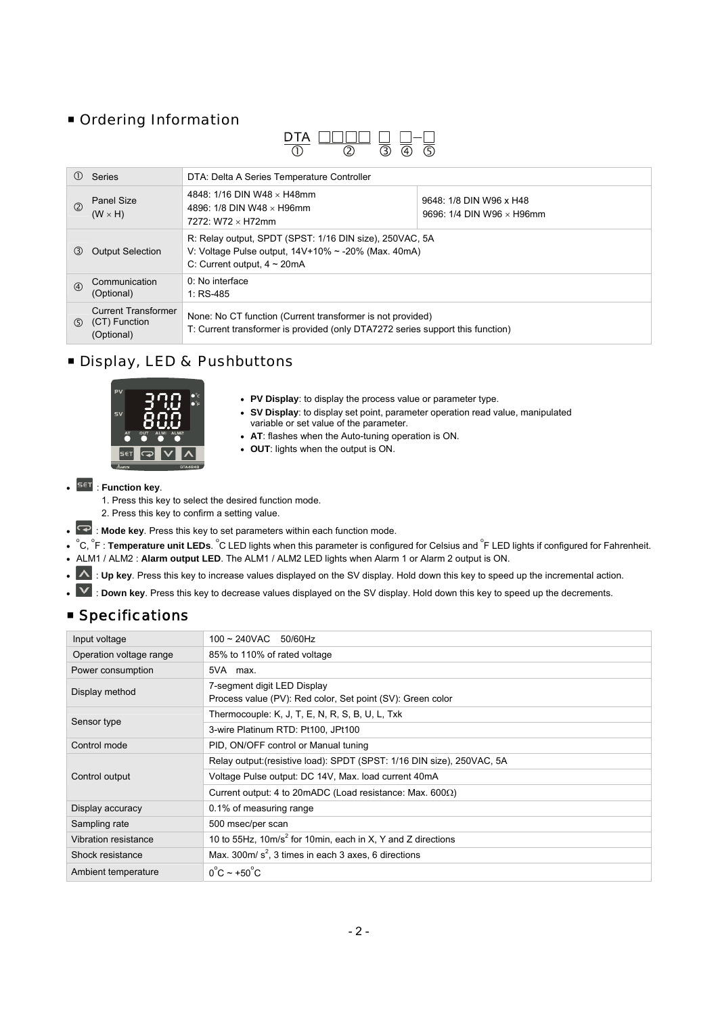## **Ordering Information**

| $\mathbf{D}$<br>IΑ |  |    |
|--------------------|--|----|
|                    |  | 5) |

| (1)           | Series                                                    | DTA: Delta A Series Temperature Controller                                                                                                                               |  |  |
|---------------|-----------------------------------------------------------|--------------------------------------------------------------------------------------------------------------------------------------------------------------------------|--|--|
| (2)           | <b>Panel Size</b><br>$(W \times H)$                       | 4848: 1/16 DIN W48 $\times$ H48mm<br>9648: 1/8 DIN W96 x H48<br>4896: 1/8 DIN W48 $\times$ H96mm<br>9696: $1/4$ DIN W96 $\times$ H96mm<br>$7272 \cdot W72 \times H72$ mm |  |  |
| $\circled{3}$ | <b>Output Selection</b>                                   | R: Relay output, SPDT (SPST: 1/16 DIN size), 250VAC, 5A<br>V: Voltage Pulse output, $14V+10\% \sim -20\%$ (Max. 40mA)<br>C: Current output, $4 \sim 20 \text{mA}$        |  |  |
| $\circled{4}$ | Communication<br>(Optional)                               | 0: No interface<br>1: $RS-485$                                                                                                                                           |  |  |
| (5)           | <b>Current Transformer</b><br>(CT) Function<br>(Optional) | None: No CT function (Current transformer is not provided)<br>T: Current transformer is provided (only DTA7272 series support this function)                             |  |  |

## Display, LED & Pushbuttons



- **PV Display**: to display the process value or parameter type.
- **SV Display**: to display set point, parameter operation read value, manipulated variable or set value of the parameter.
- **AT**: flashes when the Auto-tuning operation is ON.
- **OUT**: lights when the output is ON.

## $\cdot$  <sup>SET</sup> : Function key.

- 1. Press this key to select the desired function mode.
- 2. Press this key to confirm a setting value.
- $\blacktriangleright$  : Mode key. Press this key to set parameters within each function mode.
- <sup>°</sup>C, <sup>°</sup>F: Temperature unit LEDs. <sup>°</sup>C LED lights when this parameter is configured for Celsius and <sup>°</sup>F LED lights if configured for Fahrenheit.
- ALM1 / ALM2 : **Alarm output LED**. The ALM1 / ALM2 LED lights when Alarm 1 or Alarm 2 output is ON.
- . A : Up key. Press this key to increase values displayed on the SV display. Hold down this key to speed up the incremental action.
- Y: Down key. Press this key to decrease values displayed on the SV display. Hold down this key to speed up the decrements.

## **Specifications**

| Input voltage                                        | $100 \sim 240$ VAC 50/60Hz                                                                |
|------------------------------------------------------|-------------------------------------------------------------------------------------------|
| Operation voltage range                              | 85% to 110% of rated voltage                                                              |
| Power consumption                                    | 5VA max.                                                                                  |
| Display method                                       | 7-segment digit LED Display<br>Process value (PV): Red color, Set point (SV): Green color |
| Sensor type                                          | Thermocouple: $K$ , $J$ , $T$ , $E$ , $N$ , $R$ , $S$ , $B$ , $U$ , $L$ , $Txk$           |
|                                                      | 3-wire Platinum RTD: Pt100, JPt100                                                        |
| Control mode<br>PID, ON/OFF control or Manual tuning |                                                                                           |
|                                                      | Relay output: (resistive load): SPDT (SPST: 1/16 DIN size), 250VAC, 5A                    |
| Control output                                       | Voltage Pulse output: DC 14V, Max. load current 40mA                                      |
|                                                      | Current output: 4 to 20mADC (Load resistance: Max. $600\Omega$ )                          |
| Display accuracy                                     | 0.1% of measuring range                                                                   |
| Sampling rate                                        | 500 msec/per scan                                                                         |
| Vibration resistance                                 | 10 to 55Hz, 10m/s <sup>2</sup> for 10min, each in X, Y and Z directions                   |
| Shock resistance                                     | Max. 300m/ $s^2$ , 3 times in each 3 axes, 6 directions                                   |
| Ambient temperature                                  | $0^{\circ}$ C ~ +50 $^{\circ}$ C                                                          |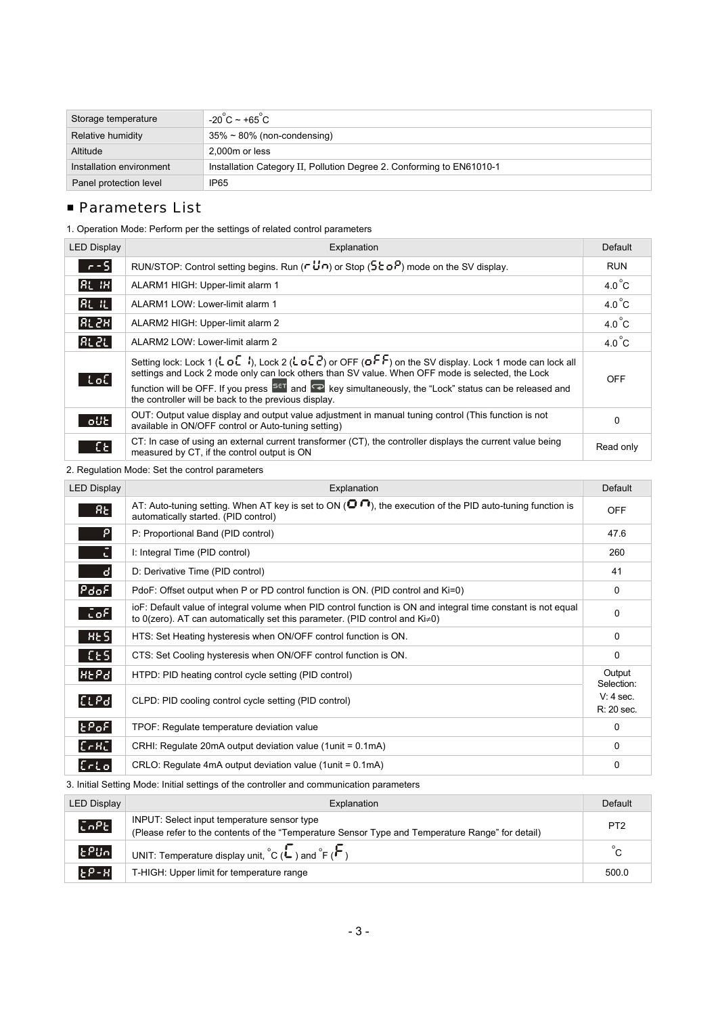| Storage temperature      | $-20^{\circ}$ C ~ +65 $^{\circ}$ C                                    |
|--------------------------|-----------------------------------------------------------------------|
| Relative humidity        | $35\% \sim 80\%$ (non-condensing)                                     |
| Altitude                 | 2.000m or less                                                        |
| Installation environment | Installation Category II, Pollution Degree 2. Conforming to EN61010-1 |
| Panel protection level   | IP <sub>65</sub>                                                      |

## **Parameters List**

1. Operation Mode: Perform per the settings of related control parameters

| <b>LED Display</b> | Explanation                                                                                                                                                                                                                                                                                                                                                                                                                                                                              | Default         |
|--------------------|------------------------------------------------------------------------------------------------------------------------------------------------------------------------------------------------------------------------------------------------------------------------------------------------------------------------------------------------------------------------------------------------------------------------------------------------------------------------------------------|-----------------|
| $-5$               | RUN/STOP: Control setting begins. Run ( $\cdot$ U $\cdot$ ) or Stop (5 c o <sup>p</sup> ) mode on the SV display.                                                                                                                                                                                                                                                                                                                                                                        | <b>RUN</b>      |
| $R$ $H$            | ALARM1 HIGH: Upper-limit alarm 1                                                                                                                                                                                                                                                                                                                                                                                                                                                         | $4.0^{\circ}$ C |
| <b>RLIL</b>        | ALARM1 LOW: Lower-limit alarm 1                                                                                                                                                                                                                                                                                                                                                                                                                                                          | $4.0^{\circ}$ C |
| RL2H               | ALARM2 HIGH: Upper-limit alarm 2                                                                                                                                                                                                                                                                                                                                                                                                                                                         | $4.0^{\circ}$ C |
| RE 2L              | ALARM2 LOW: Lower-limit alarm 2                                                                                                                                                                                                                                                                                                                                                                                                                                                          | $4.0^{\circ}$ C |
| -LoC               | Setting lock: Lock 1 ( $\mathsf{L}$ o $\mathsf{L}$ i), Lock 2 ( $\mathsf{L}$ o $\mathsf{L}$ $\mathsf{C}$ ) or OFF ( $\mathsf{o}$ $\mathsf{F}$ F) on the SV display. Lock 1 mode can lock all<br>settings and Lock 2 mode only can lock others than SV value. When OFF mode is selected, the Lock<br>function will be OFF. If you press $\frac{1}{2}$ and $\frac{1}{2}$ key simultaneously, the "Lock" status can be released and<br>the controller will be back to the previous display. | <b>OFF</b>      |
| lo UE              | OUT: Output value display and output value adjustment in manual tuning control (This function is not<br>available in ON/OFF control or Auto-tuning setting)                                                                                                                                                                                                                                                                                                                              | 0               |
| $E_{\rm E}$        | CT: In case of using an external current transformer (CT), the controller displays the current value being<br>measured by CT, if the control output is ON                                                                                                                                                                                                                                                                                                                                | Read only       |

2. Regulation Mode: Set the control parameters

| <b>LED Display</b>                             | Explanation                                                                                                                                                                                          | <b>Default</b>            |
|------------------------------------------------|------------------------------------------------------------------------------------------------------------------------------------------------------------------------------------------------------|---------------------------|
| $R_{\rm E}$                                    | AT: Auto-tuning setting. When AT key is set to ON ( $\bullet$ , the execution of the PID auto-tuning function is<br>automatically started. (PID control)                                             | <b>OFF</b>                |
| Р                                              | P: Proportional Band (PID control)                                                                                                                                                                   | 47.6                      |
| ū                                              | I: Integral Time (PID control)                                                                                                                                                                       | 260                       |
| đ.                                             | D: Derivative Time (PID control)                                                                                                                                                                     | 41                        |
| $ \mathsf{P}_{\mathsf{do}}\mathsf{F} $         | PdoF: Offset output when P or PD control function is ON. (PID control and Ki=0)                                                                                                                      | 0                         |
| CoF                                            | ioF: Default value of integral volume when PID control function is ON and integral time constant is not equal<br>to 0(zero). AT can automatically set this parameter. (PID control and $Ki \neq 0$ ) | 0                         |
| H <sub>E</sub>                                 | HTS: Set Heating hysteresis when ON/OFF control function is ON.                                                                                                                                      | 0                         |
| [CES]                                          | CTS: Set Cooling hysteresis when ON/OFF control function is ON.                                                                                                                                      | 0                         |
| HEPd                                           | HTPD: PID heating control cycle setting (PID control)                                                                                                                                                | Output<br>Selection:      |
| [LLP <sub>d</sub> ]                            | CLPD: PID cooling control cycle setting (PID control)                                                                                                                                                | $V: 4$ sec.<br>R: 20 sec. |
| $\left\vert \epsilon\mathsf{PoF}\right\vert$   | TPOF: Regulate temperature deviation value                                                                                                                                                           | 0                         |
| $\lfloor \epsilon$ e $\kappa \epsilon \rfloor$ | CRHI: Regulate 20mA output deviation value (1 unit = 0.1 mA)                                                                                                                                         | 0                         |
| $[$ c $\sim$                                   | CRLO: Regulate 4mA output deviation value (1unit = 0.1mA)                                                                                                                                            | 0                         |

3. Initial Setting Mode: Initial settings of the controller and communication parameters

| <b>LED Display</b>  | Explanation                                                                                                                                     | Default         |
|---------------------|-------------------------------------------------------------------------------------------------------------------------------------------------|-----------------|
| [5nP <sub>E</sub> ] | INPUT: Select input temperature sensor type<br>(Please refer to the contents of the "Temperature Sensor Type and Temperature Range" for detail) | P <sub>T2</sub> |
| EPIn                | UNIT: Temperature display unit, ${}^{\circ}C(\overset{\bullet}{\bullet})$ and ${}^{\circ}F(\overset{\bullet}{\bullet})$                         |                 |
| $E^{P-H}$           | T-HIGH: Upper limit for temperature range                                                                                                       | 500.0           |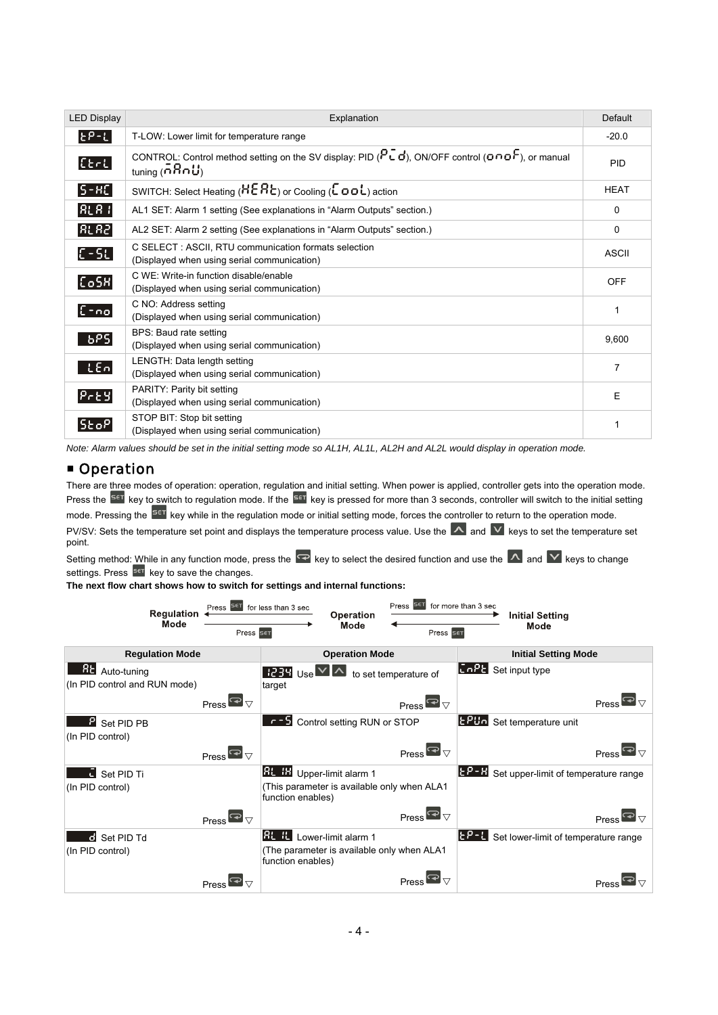| <b>LED Display</b>            | Explanation                                                                                                                            | <b>Default</b> |
|-------------------------------|----------------------------------------------------------------------------------------------------------------------------------------|----------------|
| $E_{P-L}$                     | T-LOW: Lower limit for temperature range                                                                                               | $-20.0$        |
| [Set]                         | CONTROL: Control method setting on the SV display: PID ( $P\bar{L}d$ ), ON/OFF control ( $O\cap O\bar{F}$ ), or manual<br>tuning(5BnU) | PID            |
| $ S-HC $                      | SWITCH: Select Heating (HERE) or Cooling ( $\epsilon$ oo $\epsilon$ ) action                                                           | <b>HEAT</b>    |
| $RLR$ :                       | AL1 SET: Alarm 1 setting (See explanations in "Alarm Outputs" section.)                                                                | 0              |
| R <sub>L</sub> R <sub>2</sub> | AL2 SET: Alarm 2 setting (See explanations in "Alarm Outputs" section.)                                                                | $\Omega$       |
| $\lfloor$ C - SL $\rfloor$    | C SELECT: ASCII, RTU communication formats selection<br>(Displayed when using serial communication)                                    | <b>ASCII</b>   |
| [Co5R]                        | C WE: Write-in function disable/enable<br>(Displayed when using serial communication)                                                  | <b>OFF</b>     |
| $[5 - no]$                    | C NO: Address setting<br>(Displayed when using serial communication)                                                                   | 1              |
| bPS                           | BPS: Baud rate setting<br>(Displayed when using serial communication)                                                                  | 9,600          |
| LEO                           | LENGTH: Data length setting<br>(Displayed when using serial communication)                                                             | $\overline{7}$ |
| $P_{r}$ 89                    | PARITY: Parity bit setting<br>(Displayed when using serial communication)                                                              | E              |
| <b>SEOP</b>                   | STOP BIT: Stop bit setting<br>(Displayed when using serial communication)                                                              | 1              |

*Note: Alarm values should be set in the initial setting mode so AL1H, AL1L, AL2H and AL2L would display in operation mode.* 

## **Operation**

There are three modes of operation: operation, regulation and initial setting. When power is applied, controller gets into the operation mode. Press the <sup>SetT</sup> key to switch to regulation mode. If the <sup>SetT</sup> key is pressed for more than 3 seconds, controller will switch to the initial setting mode. Pressing the **SET** key while in the regulation mode or initial setting mode, forces the controller to return to the operation mode. PV/SV: Sets the temperature set point and displays the temperature process value. Use the  $\Delta$  and  $\Delta$  keys to set the temperature set point.

Setting method: While in any function mode, press the  $\blacktriangleright$  key to select the desired function and use the  $\blacktriangle$  and  $\blacktriangleright$  keys to change settings. Press <sup>SET</sup> key to save the changes.

**The next flow chart shows how to switch for settings and internal functions:**

| <b>Regulation</b><br>Mode                           | Press <b>SET</b> for less than 3 sec<br>Press SET |                                                                                                                                                                  | Press <sup>Set</sup><br><b>Operation</b><br>Mode           | for more than 3 sec<br>Press SET | <b>Initial Setting</b><br>Mode       |                                                            |
|-----------------------------------------------------|---------------------------------------------------|------------------------------------------------------------------------------------------------------------------------------------------------------------------|------------------------------------------------------------|----------------------------------|--------------------------------------|------------------------------------------------------------|
| <b>Regulation Mode</b>                              |                                                   | <b>Operation Mode</b>                                                                                                                                            |                                                            |                                  | <b>Initial Setting Mode</b>          |                                                            |
| 8EI<br>Auto-tuning<br>(In PID control and RUN mode) |                                                   | $\begin{array}{ c c c }\n\hline\n & \hline\n & \hline\n\end{array}$ 234 $\begin{array}{ c c c }\n\hline\n & \hline\n & \hline\n & \hline\n\end{array}$<br>target | to set temperature of                                      | [0.02]                           | Set input type                       |                                                            |
|                                                     | Press $\overline{\mathbf{P}}$ $\triangledown$     |                                                                                                                                                                  | Press $\overline{\mathbf{P}}$ $\triangledown$              |                                  |                                      | Press <sup><math>\blacksquare</math></sup> $\triangledown$ |
| P.<br>Set PID PB<br>(In PID control)                |                                                   | r - 5 Control setting RUN or STOP                                                                                                                                |                                                            | 1880a                            | Set temperature unit                 |                                                            |
|                                                     | Press $\blacksquare_{\triangledown}$              |                                                                                                                                                                  | Press $\blacksquare_{\triangledown}$                       |                                  |                                      | Press $\blacksquare$                                       |
| Set PID Ti<br>(In PID control)                      |                                                   | <b>Rt. H</b> Upper-limit alarm 1<br>(This parameter is available only when ALA1<br>function enables)                                                             |                                                            | <b>FP-8</b>                      | Set upper-limit of temperature range |                                                            |
|                                                     | Press $\blacksquare_{\triangledown}$              |                                                                                                                                                                  | Press <sup><math>\blacksquare_{\triangledown}</math></sup> |                                  |                                      | Press $\blacksquare$                                       |
| d Set PID Td<br>(In PID control)                    |                                                   | RL IL <br>Lower-limit alarm 1<br>(The parameter is available only when ALA1<br>function enables)                                                                 |                                                            | $E_{1} = 1$                      | Set lower-limit of temperature range |                                                            |
|                                                     | Press                                             |                                                                                                                                                                  | Press                                                      |                                  |                                      |                                                            |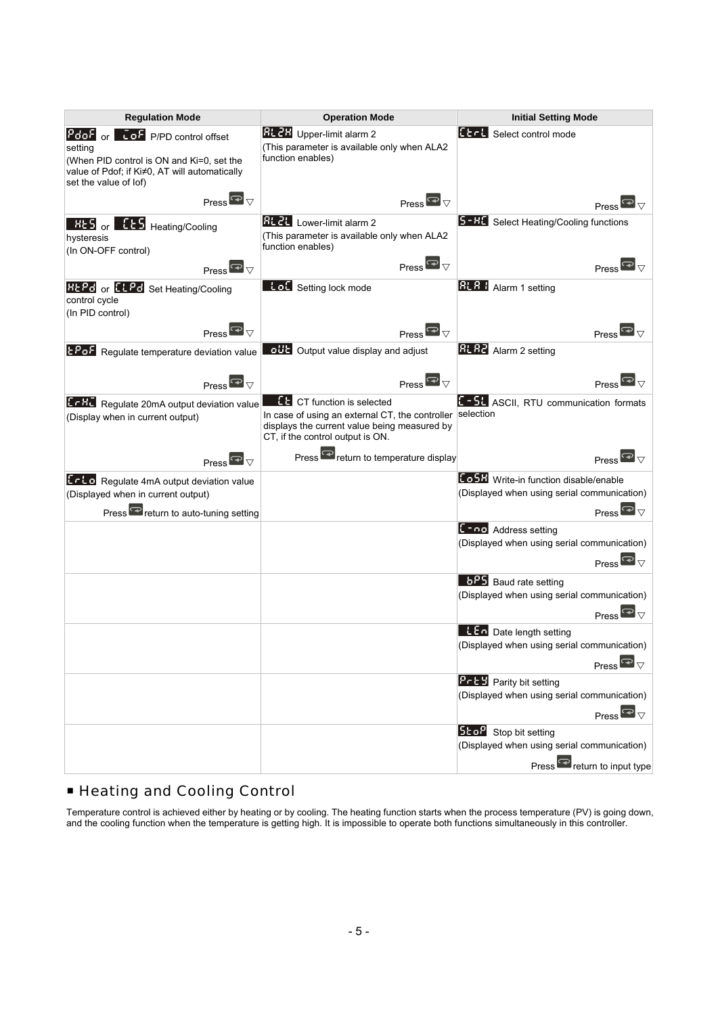| <b>Regulation Mode</b>                                                                                                                                                            | <b>Operation Mode</b>                                                                                                                                                    | <b>Initial Setting Mode</b>                                                                                                                   |  |
|-----------------------------------------------------------------------------------------------------------------------------------------------------------------------------------|--------------------------------------------------------------------------------------------------------------------------------------------------------------------------|-----------------------------------------------------------------------------------------------------------------------------------------------|--|
| $Pdof _{or} $<br><b>Lof</b> P/PD control offset<br>setting<br>(When PID control is ON and Ki=0, set the<br>value of Pdof; if Ki≠0, AT will automatically<br>set the value of lof) | <b>RL 2H</b> Upper-limit alarm 2<br>(This parameter is available only when ALA2<br>function enables)                                                                     | <b>EECH</b> Select control mode                                                                                                               |  |
| Press $\overline{\mathbf{P}}$                                                                                                                                                     | Press $\overline{\mathbf{P}}$ $\overline{\mathbf{V}}$                                                                                                                    | Press                                                                                                                                         |  |
| Heating/Cooling<br>$R_{25}$ or $ $<br>hysteresis<br>(In ON-OFF control)                                                                                                           | RL 2L <br>Lower-limit alarm 2<br>(This parameter is available only when ALA2)<br>function enables)                                                                       | 5-HE Select Heating/Cooling functions                                                                                                         |  |
| Press $\blacksquare_{\triangledown}$                                                                                                                                              | Press $\overline{\mathbf{P}}$                                                                                                                                            | Press l                                                                                                                                       |  |
| <b>REPO</b> or <b>HEPP</b> Set Heating/Cooling<br>control cycle<br>(In PID control)                                                                                               | tot Setting lock mode                                                                                                                                                    | <b>RL R +</b> Alarm 1 setting                                                                                                                 |  |
| Press $\overline{\mathbf{P}}$                                                                                                                                                     | Press $\overline{\mathbf{P}}$                                                                                                                                            | Press                                                                                                                                         |  |
| <b>LPoF</b> Regulate temperature deviation value                                                                                                                                  | ott Output value display and adjust                                                                                                                                      | <b>RL R2</b> Alarm 2 setting                                                                                                                  |  |
| Press $\overline{\mathbf{P}}$ $\overline{\mathbf{V}}$                                                                                                                             | Press $\overline{\mathbf{P}}$                                                                                                                                            | Press                                                                                                                                         |  |
| <b>LFRU</b> Regulate 20mA output deviation value<br>(Display when in current output)                                                                                              | <b>ED</b> CT function is selected<br>In case of using an external CT, the controller<br>displays the current value being measured by<br>CT, if the control output is ON. | E - 5L ASCII, RTU communication formats<br>selection                                                                                          |  |
| Press $\overline{\mathbf{P}}$ $\triangledown$                                                                                                                                     | Press <sup>e</sup> return to temperature display                                                                                                                         | Press <sup><math>\blacksquare</math></sup>                                                                                                    |  |
| Erto Regulate 4mA output deviation value<br>(Displayed when in current output)<br>Press <sup>e</sup> return to auto-tuning setting                                                |                                                                                                                                                                          | <b>Eo 5H</b> Write-in function disable/enable<br>(Displayed when using serial communication)<br>Press $\overline{\mathbf{P}}$ $\triangledown$ |  |
|                                                                                                                                                                                   |                                                                                                                                                                          | <b>L</b> FOO Address setting<br>(Displayed when using serial communication)<br>Press $\overline{\mathbf{P}}$ $\triangledown$                  |  |
|                                                                                                                                                                                   |                                                                                                                                                                          | <b>6PS</b> Baud rate setting                                                                                                                  |  |
|                                                                                                                                                                                   |                                                                                                                                                                          | (Displayed when using serial communication)<br>Press $\overline{\mathbf{P}}$                                                                  |  |
|                                                                                                                                                                                   |                                                                                                                                                                          | <b>LEG</b> Date length setting<br>(Displayed when using serial communication)<br>Press $\overline{\mathbf{P}}$                                |  |
|                                                                                                                                                                                   |                                                                                                                                                                          | <b>Pr E 3</b> Parity bit setting<br>(Displayed when using serial communication)<br>Press $\overline{\mathbf{P}}$ $\triangledown$              |  |
|                                                                                                                                                                                   |                                                                                                                                                                          | <b>SEOP</b> Stop bit setting<br>(Displayed when using serial communication)                                                                   |  |
|                                                                                                                                                                                   |                                                                                                                                                                          | Press <sup>e</sup> return to input type                                                                                                       |  |

## Heating and Cooling Control

Temperature control is achieved either by heating or by cooling. The heating function starts when the process temperature (PV) is going down, and the cooling function when the temperature is getting high. It is impossible to operate both functions simultaneously in this controller.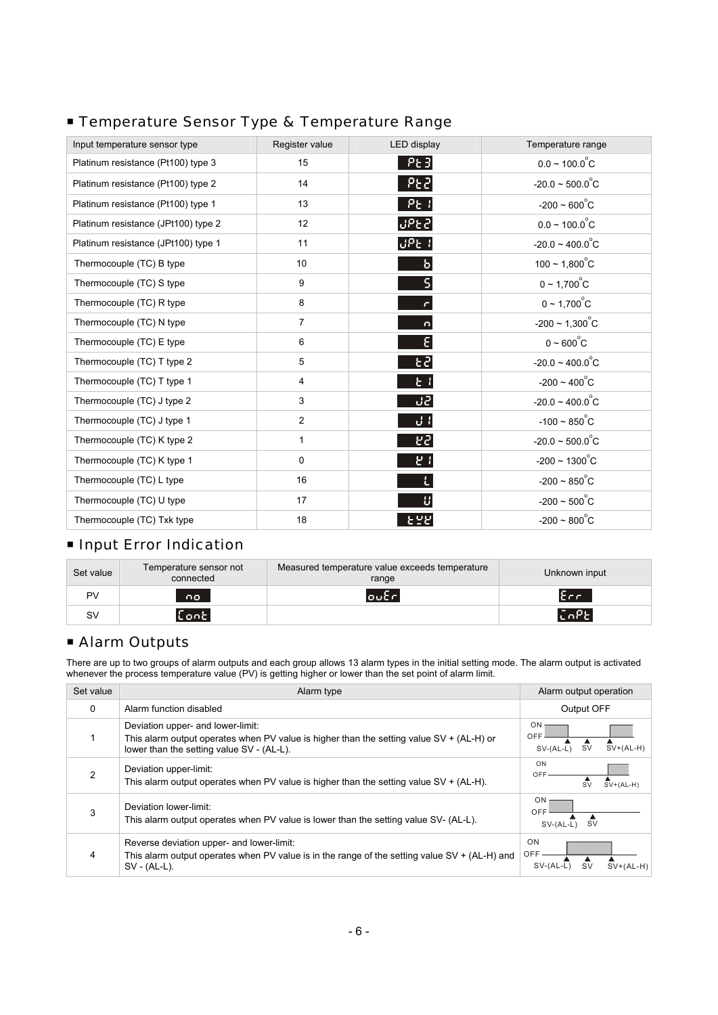## **Temperature Sensor Type & Temperature Range**

| Input temperature sensor type       | Register value  | LED display | Temperature range            |
|-------------------------------------|-----------------|-------------|------------------------------|
| Platinum resistance (Pt100) type 3  | 15              | PE3         | $0.0 \sim 100.0^{\circ}$ C   |
| Platinum resistance (Pt100) type 2  | 14              | $P$ E $P$   | $-20.0 \sim 500.0^{\circ}$ C |
| Platinum resistance (Pt100) type 1  | 13              | $P_{c}$ :   | $-200 \sim 600^{\circ}C$     |
| Platinum resistance (JPt100) type 2 | 12              | <b>UPE2</b> | $0.0 \sim 100.0^{\circ}$ C   |
| Platinum resistance (JPt100) type 1 | 11              | UPE I       | $-20.0 \sim 400.0^{\circ}$ C |
| Thermocouple (TC) B type            | 10 <sup>1</sup> | ь           | $100 \sim 1,800^{\circ}$ C   |
| Thermocouple (TC) S type            | 9               |             | $0 \sim 1,700^{\circ}$ C     |
| Thermocouple (TC) R type            | 8               |             | $0 \sim 1,700^{\circ}$ C     |
| Thermocouple (TC) N type            | $\overline{7}$  | n           | $-200 \sim 1,300^{\circ}$ C  |
| Thermocouple (TC) E type            | 6               | ε           | $0 \sim 600^{\circ}C$        |
| Thermocouple (TC) T type 2          | 5               | 53          | $-20.0 \sim 400.0^{\circ}$ C |
| Thermocouple (TC) T type 1          | 4               | E I         | $-200 \sim 400^{\circ}$ C    |
| Thermocouple (TC) J type 2          | 3               | 321         | $-20.0 \sim 400.0^{\circ}$ C |
| Thermocouple (TC) J type 1          | $\overline{2}$  | J I         | $-100 \sim 850^{\circ}$ C    |
| Thermocouple (TC) K type 2          | 1               | 53          | $-20.0 \sim 500.0^{\circ}$ C |
| Thermocouple (TC) K type 1          | 0               | 54          | $-200 \sim 1300^{\circ}$ C   |
| Thermocouple (TC) L type            | 16              | L           | $-200 \sim 850^{\circ}$ C    |
| Thermocouple (TC) U type            | 17              | U           | $-200 \sim 500^{\circ}$ C    |
| Thermocouple (TC) Txk type          | 18              | 556         | $-200 \sim 800^{\circ}$ C    |

## **Input Error Indication**

| Set value | Temperature sensor not<br>connected | Measured temperature value exceeds temperature<br>range | Unknown input                |
|-----------|-------------------------------------|---------------------------------------------------------|------------------------------|
| PV        | no.                                 | $\overline{\mathsf{out}}$                               | $E_{C}$                      |
| SV        | $ {\sf Conel} $                     |                                                         | $[\bar{c}$ n $\bar{P}$ E $]$ |

## **Alarm Outputs**

There are up to two groups of alarm outputs and each group allows 13 alarm types in the initial setting mode. The alarm output is activated whenever the process temperature value (PV) is getting higher or lower than the set point of alarm limit.

| Set value     | Alarm type                                                                                                                                                                 | Alarm output operation                                      |
|---------------|----------------------------------------------------------------------------------------------------------------------------------------------------------------------------|-------------------------------------------------------------|
| 0             | Alarm function disabled                                                                                                                                                    | Output OFF                                                  |
|               | Deviation upper- and lower-limit:<br>This alarm output operates when PV value is higher than the setting value SV + (AL-H) or<br>lower than the setting value SV - (AL-L). | ON<br>OFF<br><b>SV</b><br>$SV+(AL-H)$<br>$SV-(AL-L)$        |
| $\mathcal{P}$ | Deviation upper-limit:<br>This alarm output operates when PV value is higher than the setting value $SV + (AL-H)$ .                                                        | ON<br>OFF<br>$SV+(AL-H)$<br><b>SV</b>                       |
| 3             | Deviation lower-limit:<br>This alarm output operates when PV value is lower than the setting value SV- (AL-L).                                                             | <b>ON</b><br>OFF<br><b>SV</b><br>$SV-(AL-L)$                |
| 4             | Reverse deviation upper- and lower-limit:<br>This alarm output operates when PV value is in the range of the setting value $SV + (AL-H)$ and<br>$SV - (AL-L)$ .            | <b>ON</b><br>OFF<br>$SV+(AL-H)$<br><b>SV</b><br>$SV-(AL-L)$ |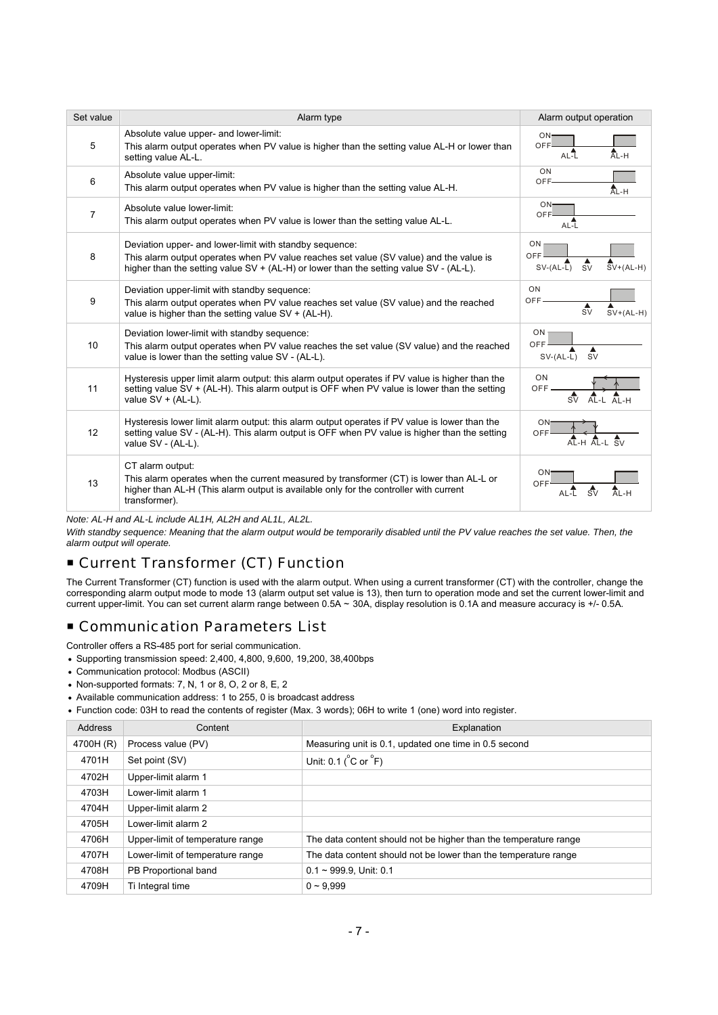| Set value      | Alarm type                                                                                                                                                                                                                                       | Alarm output operation                                                        |
|----------------|--------------------------------------------------------------------------------------------------------------------------------------------------------------------------------------------------------------------------------------------------|-------------------------------------------------------------------------------|
| 5              | Absolute value upper- and lower-limit:<br>This alarm output operates when PV value is higher than the setting value AL-H or lower than<br>setting value AL-L.                                                                                    | $ON-$<br>OFF-<br>AL-H<br>$AL-L$                                               |
| 6              | Absolute value upper-limit:<br>This alarm output operates when PV value is higher than the setting value AL-H.                                                                                                                                   | ON<br>OFF-<br>AL-H                                                            |
| $\overline{7}$ | Absolute value lower-limit:<br>This alarm output operates when PV value is lower than the setting value AL-L.                                                                                                                                    | ON-<br>OFF<br>AL-L                                                            |
| 8              | Deviation upper- and lower-limit with standby sequence:<br>This alarm output operates when PV value reaches set value (SV value) and the value is<br>higher than the setting value $SV + (AL-H)$ or lower than the setting value $SV - (AL-L)$ . | ON.<br>OFF<br>$\frac{1}{\text{SV}}$<br>$\overline{SV}$ +(AL-H)<br>$SV-(AL-L)$ |
| 9              | Deviation upper-limit with standby sequence:<br>This alarm output operates when PV value reaches set value (SV value) and the reached<br>value is higher than the setting value $SV + (AL-H)$ .                                                  | ON<br>OFF.<br>$\frac{4}{sV}$<br>$SV+(AL-H)$                                   |
| 10             | Deviation lower-limit with standby sequence:<br>This alarm output operates when PV value reaches the set value (SV value) and the reached<br>value is lower than the setting value SV - (AL-L).                                                  | ON<br>OFF<br><b>SV</b><br>$SV-(AL-L)$                                         |
| 11             | Hysteresis upper limit alarm output: this alarm output operates if PV value is higher than the<br>setting value SV + (AL-H). This alarm output is OFF when PV value is lower than the setting<br>value $SV + (AL-L)$ .                           | ON<br><b>OFF</b>                                                              |
| 12             | Hysteresis lower limit alarm output: this alarm output operates if PV value is lower than the<br>setting value SV - (AL-H). This alarm output is OFF when PV value is higher than the setting<br>value SV - (AL-L).                              | ON-<br>OFF                                                                    |
| 13             | CT alarm output:<br>This alarm operates when the current measured by transformer (CT) is lower than AL-L or<br>higher than AL-H (This alarm output is available only for the controller with current<br>transformer).                            | ON<br>OFF<br>$\frac{4}{5}$<br>$A_{L-H}$                                       |

*Note: AL-H and AL-L include AL1H, AL2H and AL1L, AL2L.* 

With standby sequence: Meaning that the alarm output would be temporarily disabled until the PV value reaches the set value. Then, the *alarm output will operate.* 

## Current Transformer (CT) Function

The Current Transformer (CT) function is used with the alarm output. When using a current transformer (CT) with the controller, change the corresponding alarm output mode to mode 13 (alarm output set value is 13), then turn to operation mode and set the current lower-limit and current upper-limit. You can set current alarm range between 0.5A ~ 30A, display resolution is 0.1A and measure accuracy is +/- 0.5A.

## **Example 2 Communication Parameters List**

Controller offers a RS-485 port for serial communication.

- Supporting transmission speed: 2,400, 4,800, 9,600, 19,200, 38,400bps
- Communication protocol: Modbus (ASCII)
- Non-supported formats: 7, N, 1 or 8, O, 2 or 8, E, 2
- Available communication address: 1 to 255, 0 is broadcast address
- Function code: 03H to read the contents of register (Max. 3 words); 06H to write 1 (one) word into register.

| <b>Address</b> | Content                          | Explanation                                                      |
|----------------|----------------------------------|------------------------------------------------------------------|
| 4700H (R)      | Process value (PV)               | Measuring unit is 0.1, updated one time in 0.5 second            |
| 4701H          | Set point (SV)                   | Unit: $0.1(^{\circ}C \text{ or } ^{\circ}F)$                     |
| 4702H          | Upper-limit alarm 1              |                                                                  |
| 4703H          | Lower-limit alarm 1              |                                                                  |
| 4704H          | Upper-limit alarm 2              |                                                                  |
| 4705H          | Lower-limit alarm 2              |                                                                  |
| 4706H          | Upper-limit of temperature range | The data content should not be higher than the temperature range |
| 4707H          | Lower-limit of temperature range | The data content should not be lower than the temperature range  |
| 4708H          | PB Proportional band             | $0.1 \sim 999.9$ , Unit: 0.1                                     |
| 4709H          | Ti Integral time                 | $0 - 9.999$                                                      |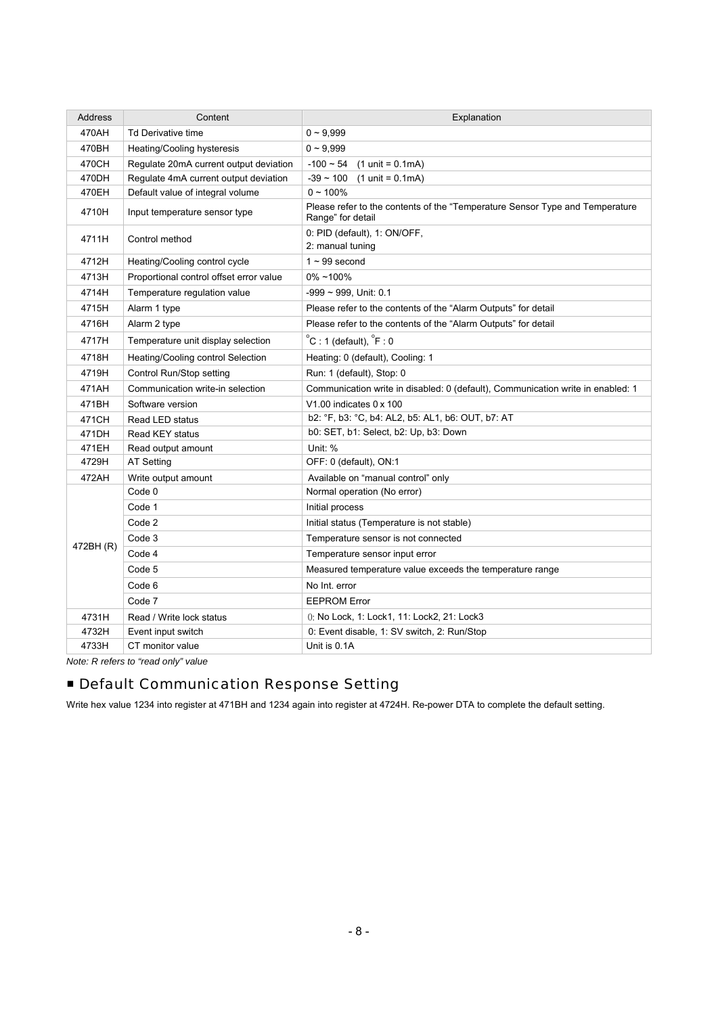| Address   | Content                                 | Explanation                                                                                       |  |  |
|-----------|-----------------------------------------|---------------------------------------------------------------------------------------------------|--|--|
| 470AH     | <b>Td Derivative time</b>               | $0 - 9,999$                                                                                       |  |  |
| 470BH     | <b>Heating/Cooling hysteresis</b>       | $0 - 9,999$                                                                                       |  |  |
| 470CH     | Regulate 20mA current output deviation  | $-100 - 54$<br>$(1 \text{ unit} = 0.1 \text{ mA})$                                                |  |  |
| 470DH     | Regulate 4mA current output deviation   | $-39 \sim 100$ (1 unit = 0.1mA)                                                                   |  |  |
| 470EH     | Default value of integral volume        | $0 - 100\%$                                                                                       |  |  |
| 4710H     | Input temperature sensor type           | Please refer to the contents of the "Temperature Sensor Type and Temperature<br>Range" for detail |  |  |
| 4711H     | Control method                          | 0: PID (default), 1: ON/OFF,<br>2: manual tuning                                                  |  |  |
| 4712H     | Heating/Cooling control cycle           | $1 - 99$ second                                                                                   |  |  |
| 4713H     | Proportional control offset error value | $0\% - 100\%$                                                                                     |  |  |
| 4714H     | Temperature regulation value            | -999 ~ 999, Unit: 0.1                                                                             |  |  |
| 4715H     | Alarm 1 type                            | Please refer to the contents of the "Alarm Outputs" for detail                                    |  |  |
| 4716H     | Alarm 2 type                            | Please refer to the contents of the "Alarm Outputs" for detail                                    |  |  |
| 4717H     | Temperature unit display selection      | $^{\circ}$ C : 1 (default), $^{\circ}$ F : 0                                                      |  |  |
| 4718H     | Heating/Cooling control Selection       | Heating: 0 (default), Cooling: 1                                                                  |  |  |
| 4719H     | Control Run/Stop setting                | Run: 1 (default), Stop: 0                                                                         |  |  |
| 471AH     | Communication write-in selection        | Communication write in disabled: 0 (default), Communication write in enabled: 1                   |  |  |
| 471BH     | Software version                        | V1.00 indicates 0 x 100                                                                           |  |  |
| 471CH     | Read LED status                         | b2: °F, b3: °C, b4: AL2, b5: AL1, b6: OUT, b7: AT                                                 |  |  |
| 471DH     | <b>Read KEY status</b>                  | b0: SET, b1: Select, b2: Up, b3: Down                                                             |  |  |
| 471EH     | Read output amount                      | Unit: %                                                                                           |  |  |
| 4729H     | <b>AT Setting</b>                       | OFF: 0 (default), ON:1                                                                            |  |  |
| 472AH     | Write output amount                     | Available on "manual control" only                                                                |  |  |
|           | Code 0                                  | Normal operation (No error)                                                                       |  |  |
|           | Code 1                                  | Initial process                                                                                   |  |  |
|           | Code 2                                  | Initial status (Temperature is not stable)                                                        |  |  |
| 472BH (R) | Code 3                                  | Temperature sensor is not connected                                                               |  |  |
|           | Code 4                                  | Temperature sensor input error                                                                    |  |  |
|           | Code 5                                  | Measured temperature value exceeds the temperature range                                          |  |  |
|           | Code 6                                  | No Int. error                                                                                     |  |  |
|           | Code 7                                  | <b>EEPROM Error</b>                                                                               |  |  |
| 4731H     | Read / Write lock status                | 0. No Lock, 1: Lock1, 11: Lock2, 21: Lock3                                                        |  |  |
| 4732H     | Event input switch                      | 0: Event disable, 1: SV switch, 2: Run/Stop                                                       |  |  |
| 4733H     | CT monitor value                        | Unit is 0.1A                                                                                      |  |  |

*Note: R refers to "read only" value* 

## **EDefault Communication Response Setting**

Write hex value 1234 into register at 471BH and 1234 again into register at 4724H. Re-power DTA to complete the default setting.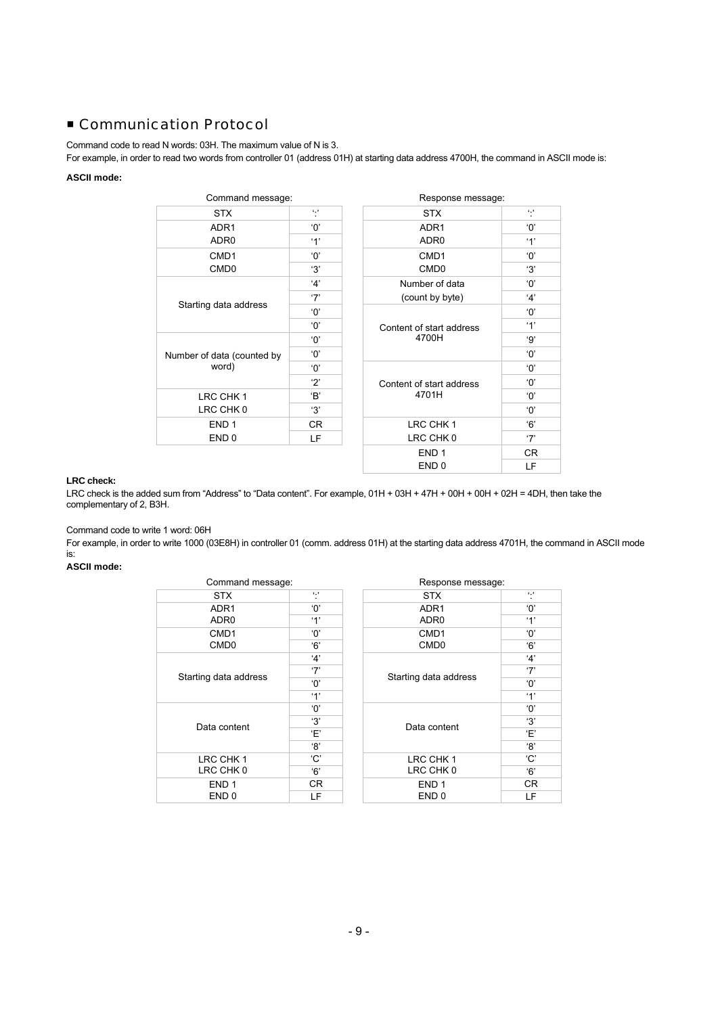## ■ Communication Protocol

Command code to read N words: 03H. The maximum value of N is 3.

For example, in order to read two words from controller 01 (address 01H) at starting data address 4700H, the command in ASCII mode is:

### **ASCII mode:**

| Command message:           |            | Response message:                 |           |
|----------------------------|------------|-----------------------------------|-----------|
| <b>STX</b>                 | $\cdots$   | <b>STX</b>                        | $6 - 7$   |
| ADR <sub>1</sub>           | 'ዐ'        | ADR <sub>1</sub>                  | 'ዐ'       |
| ADR <sub>0</sub>           | '1'        | ADR <sub>0</sub>                  | '1'       |
| CMD <sub>1</sub>           | 'ዐ'        | CMD <sub>1</sub>                  | 'ዐ'       |
| CMD <sub>0</sub>           | '3'        | CMD <sub>0</sub>                  | '3'       |
|                            | 4'         | Number of data                    | 'ዐ'       |
| Starting data address      | '7'        | (count by byte)                   | 4'        |
|                            | 'ዐ'        |                                   | 'ዐ'       |
|                            | 'ዐ'        | Content of start address          | '1'       |
|                            | 'ዐ'        | 4700H                             | '9'       |
| Number of data (counted by | 'ዐ'        |                                   | 'ዐ'       |
| word)                      | 'በ'        |                                   | 'ዐ'       |
|                            | $\cdot$ 2' | Content of start address<br>4701H | 'ዐ'       |
| LRC CHK 1                  | 'B'        |                                   | 'ዐ'       |
| LRC CHK 0                  | 'З'        |                                   | 'ዐ'       |
| END <sub>1</sub>           | CR.        | LRC CHK 1                         | 6'        |
| END <sub>0</sub>           | LF         | LRC CHK 0                         | $\cdot 7$ |
|                            |            | <b>FNID 4</b>                     | $\cap$    |

| Command message:           |                               |                          | Response message: |  |
|----------------------------|-------------------------------|--------------------------|-------------------|--|
| <b>STX</b>                 | $\epsilon$ , $\epsilon$<br>×. | <b>STX</b>               | $\sim$            |  |
| ADR <sub>1</sub>           | 'ዐ'                           | ADR <sub>1</sub>         | 'በ'               |  |
| ADR <sub>0</sub>           | $^{\circ}1^{\circ}$           | ADR <sub>0</sub>         | $^{\prime}$ 1'    |  |
| CMD <sub>1</sub>           | 'ዐ'                           | CMD <sub>1</sub>         | 'ዐ'               |  |
| CMD <sub>0</sub>           | '3'                           | CMD <sub>0</sub>         | '3'               |  |
|                            | 4'                            | Number of data           | 'ዐ'               |  |
| Starting data address      | '7'                           | (count by byte)          | 4'                |  |
|                            | 'ዐ'                           |                          | 'ዐ'               |  |
|                            | $^{\circ}$ O'                 | Content of start address | $^{\prime}$ 1'    |  |
| Number of data (counted by | 'ዐ'                           | 4700H                    | '9'               |  |
|                            | 'ዐ'                           |                          | 'ዐ'               |  |
| word)                      | 'ዐ'                           |                          | 'ዐ'               |  |
|                            | 2                             | Content of start address | 'ዐ'               |  |
| LRC CHK 1                  | 'B'                           | 4701H                    | 'በ'               |  |
| LRC CHK 0                  | '3'                           |                          | 'ዐ'               |  |
| END <sub>1</sub>           | CR.                           | LRC CHK 1                | '6'               |  |
| END <sub>0</sub>           | LF                            | LRC CHK 0                | '7'               |  |
|                            |                               | END <sub>1</sub>         | CR.               |  |
|                            |                               | END <sub>0</sub>         | LF                |  |

### **LRC check:**

LRC check is the added sum from "Address" to "Data content". For example, 01H + 03H + 47H + 00H + 00H + 02H = 4DH, then take the complementary of 2, B3H.

Command code to write 1 word: 06H

For example, in order to write 1000 (03E8H) in controller 01 (comm. address 01H) at the starting data address 4701H, the command in ASCII mode is:

**ASCII mode:** 

| Command message:      |                | Response message:     |          |
|-----------------------|----------------|-----------------------|----------|
| <b>STX</b>            | $\sim$         | <b>STX</b>            | $\cdots$ |
| ADR <sub>1</sub>      | 'ዐ'            | ADR <sub>1</sub>      | 'ዐ'      |
| ADR <sub>0</sub>      | $^{\prime}$ 1' | ADR <sub>0</sub>      | '1'      |
| CMD <sub>1</sub>      | 'በ'            | CMD <sub>1</sub>      | 'ዐ'      |
| CMD <sub>0</sub>      | '6'            | CMD <sub>0</sub>      | '6'      |
|                       | 4'             |                       | 4'       |
|                       | '7'            |                       | '7'      |
| Starting data address | 'ዐ'            | Starting data address | 'ዐ'      |
|                       | $^{\prime}$ 1' |                       | '1'      |
|                       | 'ዐ'            |                       | 'ዐ'      |
|                       | 'З'            | Data content          | '3'      |
| Data content          | Έ'             |                       | Έ'       |
|                       | '8'            |                       | '8'      |
| LRC CHK 1             | 'C'            | LRC CHK 1             | 'C'      |
| LRC CHK 0             | '6'            | LRC CHK 0             | '6'      |
| END <sub>1</sub>      | CR.            | END <sub>1</sub>      | CR.      |
| END 0                 | LF             | END <sub>0</sub>      | LF       |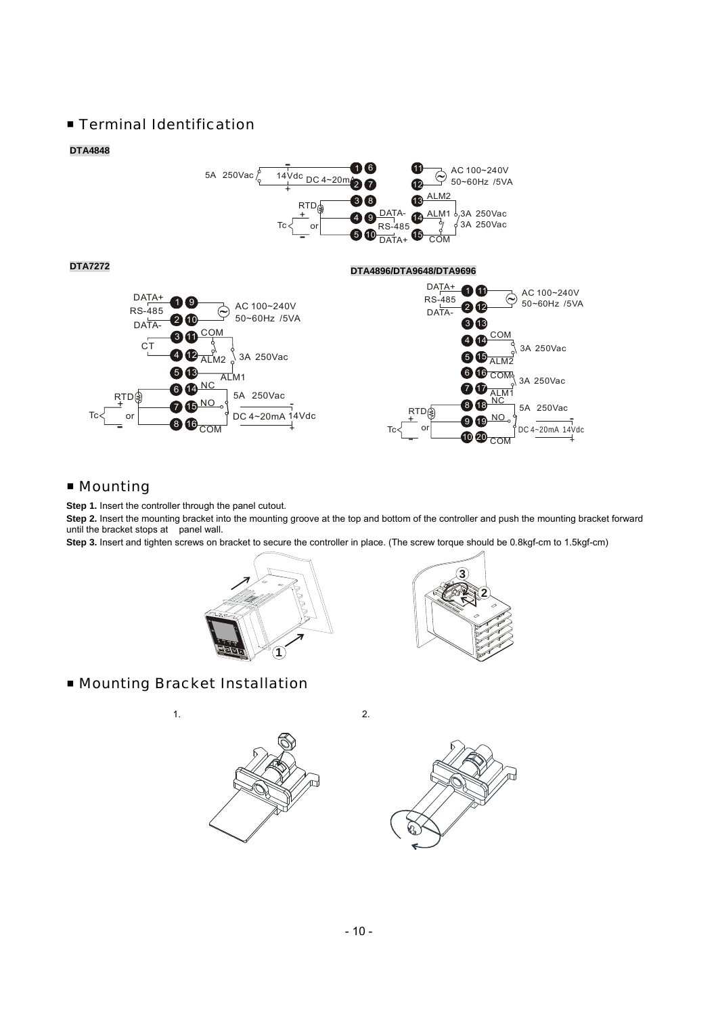## **Exerginal Identification**

#### **DTA4848**





## ■ Mounting

Tc

**Step 1.** Insert the controller through the panel cutout.

**Step 2.** Insert the mounting bracket into the mounting groove at the top and bottom of the controller and push the mounting bracket forward until the bracket stops at panel wall.

**Step 3.** Insert and tighten screws on bracket to secure the controller in place. (The screw torque should be 0.8kgf-cm to 1.5kgf-cm)





## ■ Mounting Bracket Installation



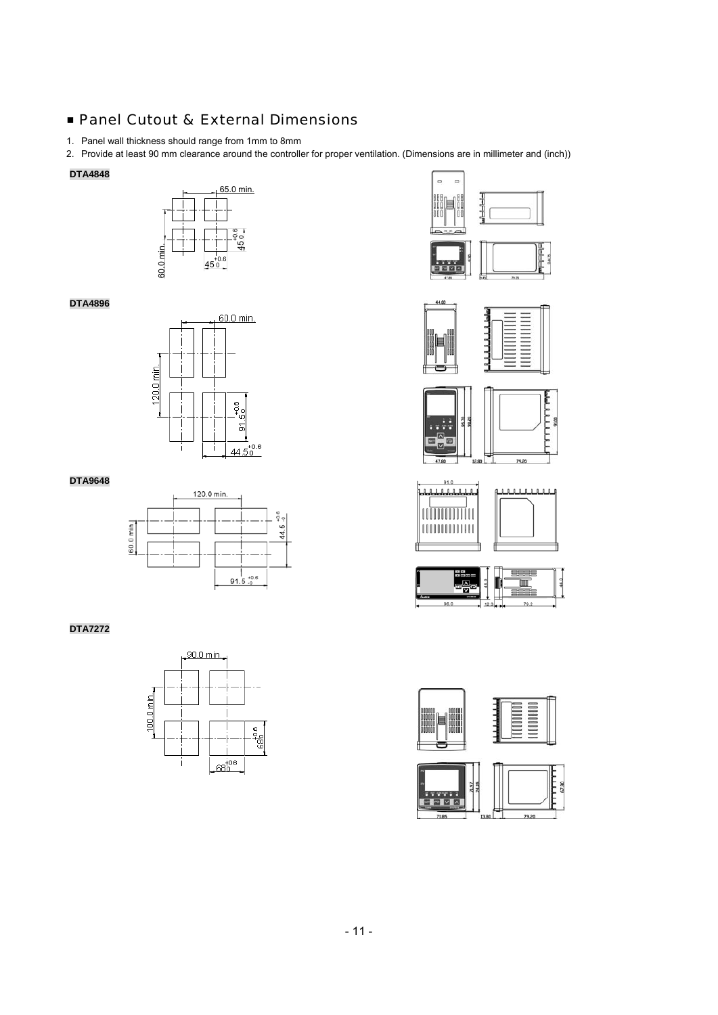## ■ Panel Cutout & External Dimensions

- 1. Panel wall thickness should range from 1mm to 8mm
- 2. Provide at least 90 mm clearance around the controller for proper ventilation. (Dimensions are in millimeter and (inch))

### **DTA4848**





### **DTA4896**



#### **DTA9648**



### **DTA7272**